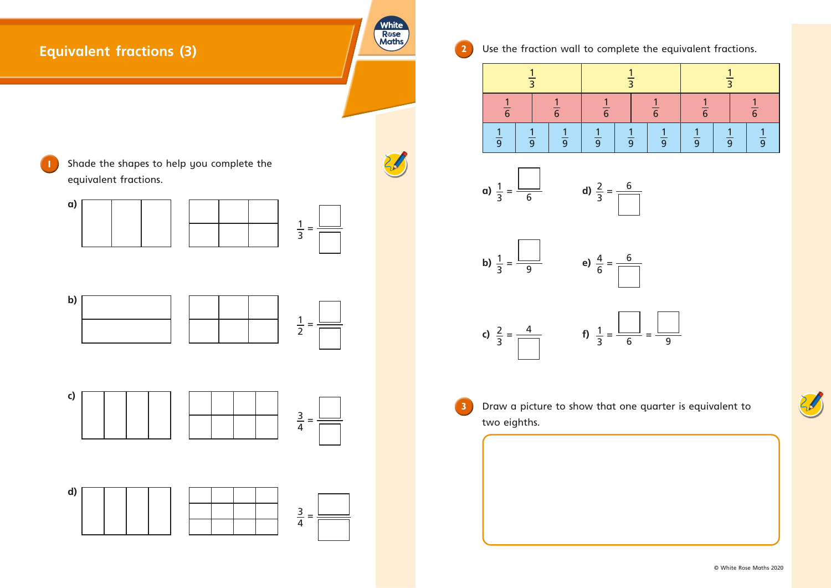

| $\overline{\overline{3}}$ |               | $\overline{3}$ |               |                |                |
|---------------------------|---------------|----------------|---------------|----------------|----------------|
| $\frac{1}{6}$             |               | $\frac{1}{6}$  |               | $\overline{6}$ |                |
| $\frac{1}{9}$             | $\frac{1}{9}$ | $\frac{1}{9}$  | $\frac{1}{9}$ |                | $\overline{9}$ |









© White Rose Maths 2020